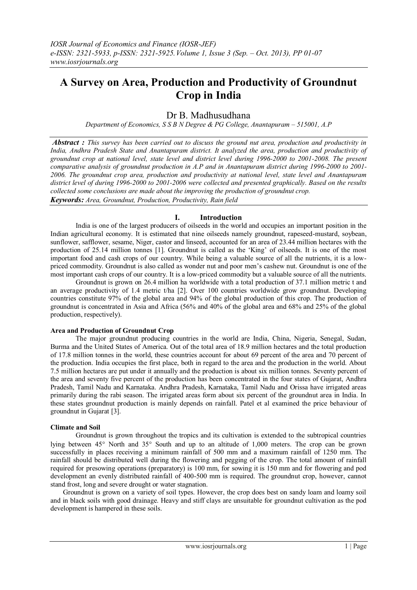# **A Survey on Area, Production and Productivity of Groundnut Crop in India**

## Dr B. Madhusudhana

*Department of Economics, S S B N Degree & PG College, Anantapuram - 515001, A.P* 

*Abstract : This survey has been carried out to discuss the ground nut area, production and productivity in India, Andhra Pradesh State and Anantapuram district. It analyzed the area, production and productivity of groundnut crop at national level, state level and district level during 1996-2000 to 2001-2008. The present comparative analysis of groundnut production in A.P and in Anantapuram district during 1996-2000 to 2001- 2006. The groundnut crop area, production and productivity at national level, state level and Anantapuram district level of during 1996-2000 to 2001-2006 were collected and presented graphically. Based on the results collected some conclusions are made about the improving the production of groundnut crop. Keywords: Area, Groundnut, Production, Productivity, Rain field*

## **I. Introduction**

India is one of the largest producers of oilseeds in the world and occupies an important position in the Indian agricultural economy. It is estimated that nine oilseeds namely groundnut, rapeseed-mustard, soybean, sunflower, safflower, sesame, Niger, castor and linseed, accounted for an area of 23.44 million hectares with the production of 25.14 million tonnes [1]. Groundnut is called as the 'King' of oilseeds. It is one of the most important food and cash crops of our country. While being a valuable source of all the nutrients, it is a lowpriced commodity. Groundnut is also called as wonder nut and poor men's cashew nut. Groundnut is one of the most important cash crops of our country. It is a low-priced commodity but a valuable source of all the nutrients.

Groundnut is grown on 26.4 million ha worldwide with a total production of 37.1 million metric t and an average productivity of 1.4 metric t/ha [2]. Over 100 countries worldwide grow groundnut. Developing countries constitute 97% of the global area and 94% of the global production of this crop. The production of groundnut is concentrated in Asia and Africa (56% and 40% of the global area and 68% and 25% of the global production, respectively).

#### **Area and Production of Groundnut Crop**

The major groundnut producing countries in the world are India, China, Nigeria, Senegal, Sudan, Burma and the United States of America. Out of the total area of 18.9 million hectares and the total production of 17.8 million tonnes in the world, these countries account for about 69 percent of the area and 70 percent of the production. India occupies the first place, both in regard to the area and the production in the world. About 7.5 million hectares are put under it annually and the production is about six million tonnes. Seventy percent of the area and seventy five percent of the production has been concentrated in the four states of Gujarat, Andhra Pradesh, Tamil Nadu and Karnataka. Andhra Pradesh, Karnataka, Tamil Nadu and Orissa have irrigated areas primarily during the rabi season. The irrigated areas form about six percent of the groundnut area in India. In these states groundnut production is mainly depends on rainfall. Patel et al examined the price behaviour of groundnut in Gujarat [3].

## **Climate and Soil**

Groundnut is grown throughout the tropics and its cultivation is extended to the subtropical countries lying between  $45^{\circ}$  North and  $35^{\circ}$  South and up to an altitude of 1,000 meters. The crop can be grown successfully in places receiving a minimum rainfall of 500 mm and a maximum rainfall of 1250 mm. The rainfall should be distributed well during the flowering and pegging of the crop. The total amount of rainfall required for presowing operations (preparatory) is 100 mm, for sowing it is 150 mm and for flowering and pod development an evenly distributed rainfall of 400-500 mm is required. The groundnut crop, however, cannot stand frost, long and severe drought or water stagnation.

Groundnut is grown on a variety of soil types. However, the crop does best on sandy loam and loamy soil and in black soils with good drainage. Heavy and stiff clays are unsuitable for groundnut cultivation as the pod development is hampered in these soils.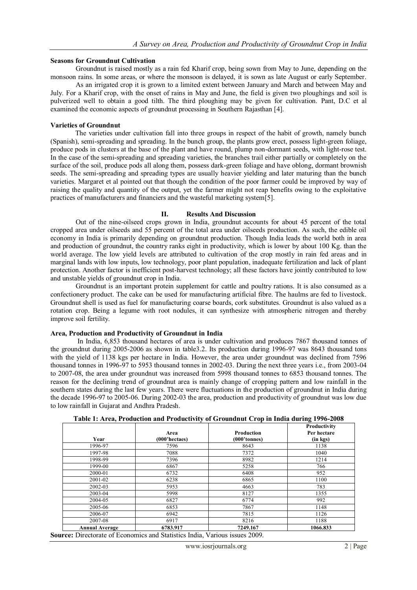#### **Seasons for Groundnut Cultivation**

Groundnut is raised mostly as a rain fed Kharif crop, being sown from May to June, depending on the monsoon rains. In some areas, or where the monsoon is delayed, it is sown as late August or early September.

As an irrigated crop it is grown to a limited extent between January and March and between May and July. For a Kharif crop, with the onset of rains in May and June, the field is given two ploughings and soil is pulverized well to obtain a good tilth. The third ploughing may be given for cultivation. Pant, D.C et al examined the economic aspects of groundnut processing in Southern Rajasthan [4].

#### **Varieties of Groundnut**

The varieties under cultivation fall into three groups in respect of the habit of growth, namely bunch (Spanish), semi-spreading and spreading. In the bunch group, the plants grow erect, possess light-green foliage, produce pods in clusters at the base of the plant and have round, plump non-dormant seeds, with light-rose test. In the case of the semi-spreading and spreading varieties, the branches trail either partially or completely on the surface of the soil, produce pods all along them, possess dark-green foliage and have oblong, dormant brownish seeds. The semi-spreading and spreading types are usually heavier yielding and later maturing than the bunch varieties. Margaret et al pointed out that though the condition of the poor farmer could be improved by way of raising the quality and quantity of the output, yet the farmer might not reap benefits owing to the exploitative practices of manufacturers and financiers and the wasteful marketing system[5].

#### **II. Results And Discussion**

Out of the nine-oilseed crops grown in India, groundnut accounts for about 45 percent of the total cropped area under oilseeds and 55 percent of the total area under oilseeds production. As such, the edible oil economy in India is primarily depending on groundnut production. Though India leads the world both in area and production of groundnut, the country ranks eight in productivity, which is lower by about 100 Kg. than the world average. The low yield levels are attributed to cultivation of the crop mostly in rain fed areas and in marginal lands with low inputs, low technology, poor plant population, inadequate fertilization and lack of plant protection. Another factor is inefficient post-harvest technology; all these factors have jointly contributed to low and unstable yields of groundnut crop in India.

Groundnut is an important protein supplement for cattle and poultry rations. It is also consumed as a confectionery product. The cake can be used for manufacturing artificial fibre. The haulms are fed to livestock. Groundnut shell is used as fuel for manufacturing coarse boards, cork substitutes. Groundnut is also valued as a rotation crop. Being a legume with root nodules, it can synthesize with atmospheric nitrogen and thereby improve soil fertility.

## **Area, Production and Productivity of Groundnut in India**

In India, 6,853 thousand hectares of area is under cultivation and produces 7867 thousand tonnes of the groundnut during 2005-2006 as shown in table3.2. Its production during 1996-97 was 8643 thousand tons with the yield of 1138 kgs per hectare in India. However, the area under groundnut was declined from 7596 thousand tonnes in 1996-97 to 5953 thousand tonnes in 2002-03. During the next three years i.e., from 2003-04 to 2007-08, the area under groundnut was increased from 5998 thousand tonnes to 6853 thousand tonnes. The reason for the declining trend of groundnut area is mainly change of cropping pattern and low rainfall in the southern states during the last few years. There were fluctuations in the production of groundnut in India during the decade 1996-97 to 2005-06. During 2002-03 the area, production and productivity of groundnut was low due to low rainfall in Gujarat and Andhra Pradesh.

|                       |                       |                            | $\overline{\phantom{a}}$                |
|-----------------------|-----------------------|----------------------------|-----------------------------------------|
| Year                  | Area<br>(000'hectaes) | Production<br>(000'tonnes) | Productivity<br>Per hectare<br>(in kgs) |
| 1996-97               | 7596                  | 8643                       | 1138                                    |
| 1997-98               | 7088                  | 7372                       | 1040                                    |
| 1998-99               | 7396                  | 8982                       | 1214                                    |
| 1999-00               | 6867                  | 5258                       | 766                                     |
| 2000-01               | 6732                  | 6408                       | 952                                     |
| 2001-02               | 6238                  | 6865                       | 1100                                    |
| 2002-03               | 5953                  | 4663                       | 783                                     |
| 2003-04               | 5998                  | 8127                       | 1355                                    |
| 2004-05               | 6827                  | 6774                       | 992                                     |
| 2005-06               | 6853                  | 7867                       | 1148                                    |
| 2006-07               | 6942                  | 7815                       | 1126                                    |
| 2007-08               | 6917                  | 8216                       | 1188                                    |
| <b>Annual Average</b> | 6783.917              | 7249.167                   | 1066.833                                |

**Table 1: Area, Production and Productivity of Groundnut Crop in India during 1996-2008**

**Source:** Directorate of Economics and Statistics India, Various issues 2009.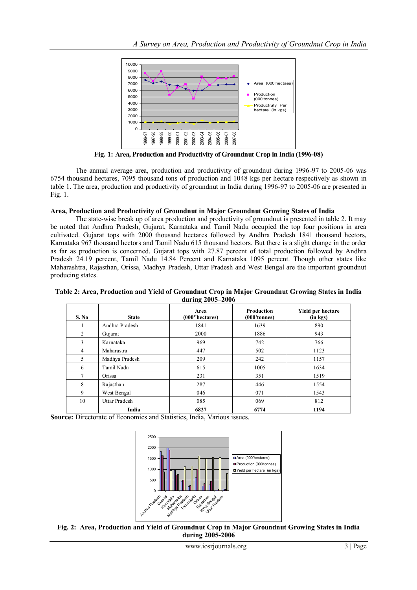

**Fig. 1: Area, Production and Productivity of Groundnut Crop in India (1996-08)**

The annual average area, production and productivity of groundnut during 1996-97 to 2005-06 was 6754 thousand hectares, 7095 thousand tons of production and 1048 kgs per hectare respectively as shown in table 1. The area, production and productivity of groundnut in India during 1996-97 to 2005-06 are presented in Fig. 1.

## **Area, Production and Productivity of Groundnut in Major Groundnut Growing States of India**

The state-wise break up of area production and productivity of groundnut is presented in table 2. It may be noted that Andhra Pradesh, Gujarat, Karnataka and Tamil Nadu occupied the top four positions in area cultivated. Gujarat tops with 2000 thousand hectares followed by Andhra Pradesh 1841 thousand hectors, Karnataka 967 thousand hectors and Tamil Nadu 615 thousand hectors. But there is a slight change in the order as far as production is concerned. Gujarat tops with 27.87 percent of total production followed by Andhra Pradesh 24.19 percent, Tamil Nadu 14.84 Percent and Karnataka 1095 percent. Though other states like Maharashtra, Rajasthan, Orissa, Madhya Pradesh, Uttar Pradesh and West Bengal are the important groundnut producing states.

#### **Table 2: Area, Production and Yield of Groundnut Crop in Major Groundnut Growing States in India during 2005–2006**

| S. No          | <b>State</b>   | Area<br>(000"hectares) | <b>Production</b><br>(000'tonnes) | Yield per hectare<br>(in kgs) |
|----------------|----------------|------------------------|-----------------------------------|-------------------------------|
|                | Andhra Pradesh | 1841                   | 1639                              | 890                           |
| 2              | Gujarat        | 2000                   | 1886                              | 943                           |
| 3              | Karnataka      | 969                    | 742                               | 766                           |
| $\overline{4}$ | Maharastra     | 447                    | 502                               | 1123                          |
| 5              | Madhya Pradesh | 209                    | 242                               | 1157                          |
| 6              | Tamil Nadu     | 615                    | 1005                              | 1634                          |
| $\overline{7}$ | Orissa         | 231                    | 351                               | 1519                          |
| 8              | Rajasthan      | 287                    | 446                               | 1554                          |
| 9              | West Bengal    | 046                    | 071                               | 1543                          |
| 10             | Uttar Pradesh  | 085                    | 069                               | 812                           |
|                | India          | 6827                   | 6774                              | 1194                          |

**Source:** Directorate of Economics and Statistics, India, Various issues.



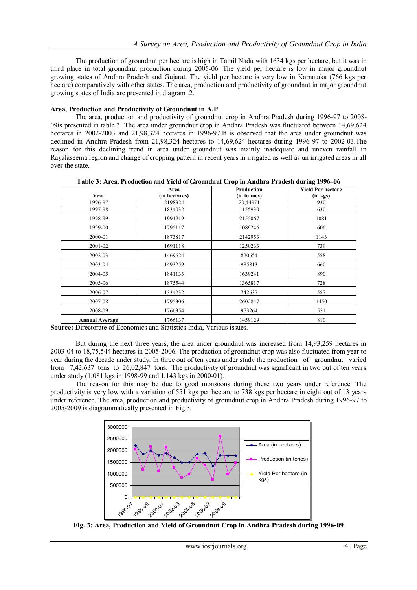The production of groundnut per hectare is high in Tamil Nadu with 1634 kgs per hectare, but it was in third place in total groundnut production during 2005-06. The yield per hectare is low in major groundnut growing states of Andhra Pradesh and Gujarat. The yield per hectare is very low in Karnataka (766 kgs per hectare) comparatively with other states. The area, production and productivity of groundnut in major groundnut growing states of India are presented in diagram .2.

## **Area, Production and Productivity of Groundnut in A.P**

The area, production and productivity of groundnut crop in Andhra Pradesh during 1996-97 to 2008- 09is presented in table 3. The area under groundnut crop in Andhra Pradesh was fluctuated between 14,69,624 hectares in 2002-2003 and 21,98,324 hectares in 1996-97.It is observed that the area under groundnut was declined in Andhra Pradesh from 21,98,324 hectares to 14,69,624 hectares during 1996-97 to 2002-03.The reason for this declining trend in area under groundnut was mainly inadequate and uneven rainfall in Rayalaseema region and change of cropping pattern in recent years in irrigated as well as un irrigated areas in all over the state.

|                       | Area          | Production  | <b>Yield Per hectare</b> |
|-----------------------|---------------|-------------|--------------------------|
| Year                  | (in hectares) | (in tonnes) | (in kgs)                 |
| 1996-97               | 2198324       | 20,44971    | 930                      |
| 1997-98               | 1834032       | 1155930     | 630                      |
| 1998-99               | 1991919       | 2155067     | 1081                     |
| 1999-00               | 1795117       | 1089246     | 606                      |
| 2000-01               | 1873817       | 2142953     | 1143                     |
| 2001-02               | 1691118       | 1250233     | 739                      |
| 2002-03               | 1469624       | 820654      | 558                      |
| 2003-04               | 1493259       | 985813      | 660                      |
| 2004-05               | 1841133       | 1639241     | 890                      |
| 2005-06               | 1875544       | 1365817     | 728                      |
| 2006-07               | 1334232       | 742637      | 557                      |
| 2007-08               | 1795306       | 2602847     | 1450                     |
| 2008-09               | 1766354       | 973264      | 551                      |
| <b>Annual Average</b> | 1766137       | 1459129     | 810                      |

**Table 3: Area, Production and Yield of Groundnut Crop in Andhra Pradesh during 1996–06**

**Source:** Directorate of Economics and Statistics India, Various issues.

But during the next three years, the area under groundnut was increased from 14,93,259 hectares in 2003-04 to 18,75,544 hectares in 2005-2006. The production of groundnut crop was also fluctuated from year to year during the decade under study. In three out of ten years under study the production of groundnut varied from 7,42,637 tons to 26,02,847 tons. The productivity of groundnut was significant in two out of ten years under study (1,081 kgs in 1998-99 and 1,143 kgs in 2000-01).

The reason for this may be due to good monsoons during these two years under reference. The productivity is very low with a variation of 551 kgs per hectare to 738 kgs per hectare in eight out of 13 years under reference. The area, production and productivity of groundnut crop in Andhra Pradesh during 1996-97 to 2005-2009 is diagrammatically presented in Fig.3.



**Fig. 3: Area, Production and Yield of Groundnut Crop in Andhra Pradesh during 1996-09**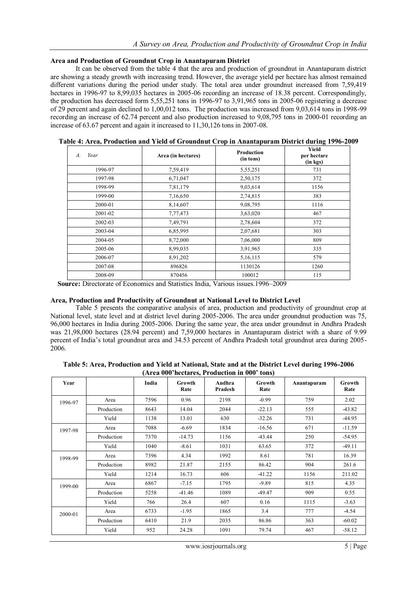#### **Area and Production of Groundnut Crop in Anantapuram District**

It can be observed from the table 4 that the area and production of groundnut in Anantapuram district are showing a steady growth with increasing trend. However, the average yield per hectare has almost remained different variations during the period under study. The total area under groundnut increased from 7,59,419 hectares in 1996-97 to 8,99,035 hectares in 2005-06 recording an increase of 18.38 percent. Correspondingly, the production has decreased form 5,55,251 tons in 1996-97 to 3,91,965 tons in 2005-06 registering a decrease of 29 percent and again declined to 1,00,012 tons. The production was increased from 9,03,614 tons in 1998-99 recording an increase of 62.74 percent and also production increased to 9,08,795 tons in 2000-01 recording an increase of 63.67 percent and again it increased to 11,30,126 tons in 2007-08.

| Year<br>$\boldsymbol{A}$ . | Area (in hectares) | Production<br>(in tons) | Yield<br>per hectare<br>(in kgs) |
|----------------------------|--------------------|-------------------------|----------------------------------|
| 1996-97                    | 7,59,419           | 5,55,251                | 731                              |
| 1997-98                    | 6,71,047           | 2,50,175                | 372                              |
| 1998-99                    | 7,81,179           | 9,03,614                | 1156                             |
| 1999-00                    | 7,16,650           | 2,74,815                | 383                              |
| 2000-01                    | 8,14,607           | 9,08,795                | 1116                             |
| 2001-02                    | 7,77,473           | 3,63,020                | 467                              |
| 2002-03                    | 7,49,791           | 2,78,604                | 372                              |
| 2003-04                    | 6,85,995           | 2,07,681                | 303                              |
| 2004-05                    | 8,72,000           | 7,06,000                | 809                              |
| 2005-06                    | 8,99,035           | 3,91,965                | 335                              |
| 2006-07                    | 8,91,202           | 5,16,115                | 579                              |
| 2007-08                    | 896826             | 1130126                 | 1260                             |
| 2008-09                    | 870456             | 100012                  | 115                              |

**Table 4: Area, Production and Yield of Groundnut Crop in Anantapuram District during 1996-2009**

 **Source:** Directorate of Economics and Statistics India, Various issues.1996–2009

#### **Area, Production and Productivity of Groundnut at National Level to District Level**

Table 5 presents the comparative analysis of area, production and productivity of groundnut crop at National level, state level and at district level during 2005-2006. The area under groundnut production was 75, 96,000 hectares in India during 2005-2006. During the same year, the area under groundnut in Andhra Pradesh was 21,98,000 hectares (28.94 percent) and 7,59,000 hectares in Anantapuram district with a share of 9.99 percent of India's total groundnut area and 34.53 percent of Andhra Pradesh total groundnut area during 2005- 2006.

| Table 5: Area, Production and Yield at National, State and at the District Level during 1996-2006 |                                              |  |  |
|---------------------------------------------------------------------------------------------------|----------------------------------------------|--|--|
|                                                                                                   | (Area 000'hectares, Production in 000' tons) |  |  |

| Year    |            | India | <b>Growth</b><br>Rate | Andhra<br>Pradesh | Growth<br>Rate | Anantapuram | Growth<br>Rate |
|---------|------------|-------|-----------------------|-------------------|----------------|-------------|----------------|
| 1996-97 | Area       | 7596  | 0.96                  | 2198              | $-0.99$        | 759         | 2.02           |
|         | Production | 8643  | 14.04                 | 2044              | $-22.13$       | 555         | $-43.82$       |
|         | Yield      | 1138  | 13.01                 | 630               | $-32.26$       | 731         | $-44.95$       |
| 1997-98 | Area       | 7088  | $-6.69$               | 1834              | $-16.56$       | 671         | $-11.59$       |
|         | Production | 7370  | $-14.73$              | 1156              | $-43.44$       | 250         | $-54.95$       |
|         | Yield      | 1040  | $-8.61$               | 1031              | 63.65          | 372         | $-49.11$       |
| 1998-99 | Area       | 7396  | 4.34                  | 1992              | 8.61           | 781         | 16.39          |
|         | Production | 8982  | 21.87                 | 2155              | 86.42          | 904         | 261.6          |
|         | Yield      | 1214  | 16.73                 | 606               | $-41.22$       | 1156        | 211.02         |
| 1999-00 | Area       | 6867  | $-7.15$               | 1795              | $-9.89$        | 815         | 4.35           |
|         | Production | 5258  | $-41.46$              | 1089              | $-49.47$       | 909         | 0.55           |
|         | Yield      | 766   | 26.4                  | 607               | 0.16           | 1115        | $-3.63$        |
| 2000-01 | Area       | 6733  | $-1.95$               | 1865              | 3.4            | 777         | $-4.54$        |
|         | Production | 6410  | 21.9                  | 2035              | 86.86          | 363         | $-60.02$       |
|         | Yield      | 952   | 24.28                 | 1091              | 79.74          | 467         | $-58.12$       |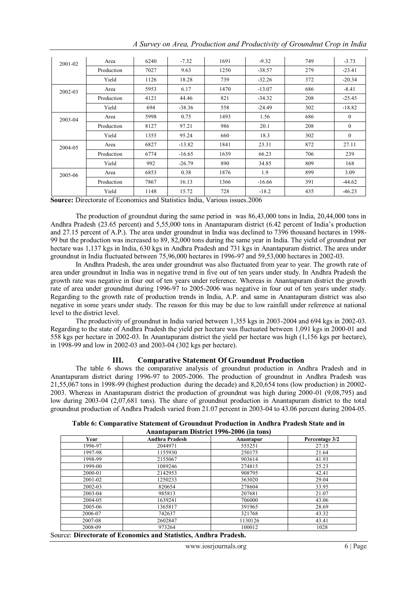| 2001-02 | Area       | 6240 | $-7.32$  | 1691 | $-9.32$  | 749 | $-3.73$  |
|---------|------------|------|----------|------|----------|-----|----------|
|         | Production | 7027 | 9.63     | 1250 | $-38.57$ | 279 | $-23.41$ |
|         | Yield      | 1126 | 18.28    | 739  | $-32.26$ | 372 | $-20.34$ |
| 2002-03 | Area       | 5953 | 6.17     | 1470 | $-13.07$ | 686 | $-8.41$  |
|         | Production | 4121 | 44.46    | 821  | $-34.32$ | 208 | $-25.45$ |
|         | Yield      | 694  | $-38.36$ | 558  | $-24.49$ | 302 | $-18.82$ |
| 2003-04 | Area       | 5998 | 0.75     | 1493 | 1.56     | 686 | $\theta$ |
|         | Production | 8127 | 97.21    | 986  | 20.1     | 208 | $\theta$ |
|         | Yield      | 1355 | 95.24    | 660  | 18.3     | 302 | $\Omega$ |
| 2004-05 | Area       | 6827 | $-13.82$ | 1841 | 23.31    | 872 | 27.11    |
|         | Production | 6774 | $-16.65$ | 1639 | 66.23    | 706 | 239      |
|         | Yield      | 992  | $-26.79$ | 890  | 34.85    | 809 | 168      |
| 2005-06 | Area       | 6853 | 0.38     | 1876 | 1.9      | 899 | 3.09     |
|         | Production | 7867 | 16.13    | 1366 | $-16.66$ | 391 | $-44.62$ |
|         | Yield      | 1148 | 15.72    | 728  | $-18.2$  | 435 | $-46.23$ |

*A Survey on Area, Production and Productivity of Groundnut Crop in India*

**Source:** Directorate of Economics and Statistics India, Various issues.2006

The production of groundnut during the same period in was 86,43,000 tons in India, 20,44,000 tons in Andhra Pradesh (23.65 percent) and 5,55,000 tons in Anantapuram district (6.42 percent of India's production and 27.15 percent of A.P.). The area under groundnut in India was declined to 7396 thousand hectares in 1998- 99 but the production was increased to 89, 82,000 tons during the same year in India. The yield of groundnut per hectare was 1,137 kgs in India, 630 kgs in Andhra Pradesh and 731 kgs in Anantapuram district. The area under groundnut in India fluctuated between 75,96,000 hectares in 1996-97 and 59,53,000 hectares in 2002-03.

In Andhra Pradesh, the area under groundnut was also fluctuated from year to year. The growth rate of area under groundnut in India was in negative trend in five out of ten years under study. In Andhra Pradesh the growth rate was negative in four out of ten years under reference. Whereas in Anantapuram district the growth rate of area under groundnut during 1996-97 to 2005-2006 was negative in four out of ten years under study. Regarding to the growth rate of production trends in India, A.P. and same in Anantapuram district was also negative in some years under study. The reason for this may be due to low rainfall under reference at national level to the district level.

The productivity of groundnut in India varied between 1,355 kgs in 2003-2004 and 694 kgs in 2002-03. Regarding to the state of Andhra Pradesh the yield per hectare was fluctuated between 1,091 kgs in 2000-01 and 558 kgs per hectare in 2002-03. In Anantapuram district the yield per hectare was high (1,156 kgs per hectare), in 1998-99 and low in 2002-03 and 2003-04 (302 kgs per hectare).

## **III. Comparative Statement Of Groundnut Production**

The table 6 shows the comparative analysis of groundnut production in Andhra Pradesh and in Anantapuram district during 1996-97 to 2005-2006. The production of groundnut in Andhra Pradesh was 21,55,067 tons in 1998-99 (highest production during the decade) and 8,20,654 tons (low production) in 20002- 2003. Whereas in Anantapuram district the production of groundnut was high during 2000-01 (9,08,795) and low during 2003-04 (2,07,681 tons). The share of groundnut production in Anantapuram district to the total groundnut production of Andhra Pradesh varied from 21.07 percent in 2003-04 to 43.06 percent during 2004-05.

**Table 6: Comparative Statement of Groundnut Production in Andhra Pradesh State and in Anantapuram District 1996-2006 (in tons)**

| Year    | <b>Andhra Pradesh</b> | Anantapur | Percentage 3/2 |
|---------|-----------------------|-----------|----------------|
| 1996-97 | 2044971               | 555251    | 27.15          |
| 1997-98 | 1155930               | 250175    | 21.64          |
| 1998-99 | 2155067               | 903614    | 41.93          |
| 1999-00 | 1089246               | 274815    | 25.23          |
| 2000-01 | 2142953               | 908795    | 42.41          |
| 2001-02 | 1250233               | 363020    | 29.04          |
| 2002-03 | 820654                | 278604    | 33.95          |
| 2003-04 | 985813                | 207681    | 21.07          |
| 2004-05 | 1639241               | 706000    | 43.06          |
| 2005-06 | 1365817               | 391965    | 28.69          |
| 2006-07 | 742637                | 321768    | 43.32          |
| 2007-08 | 2602847               | 1130126   | 43.41          |
| 2008-09 | 973264                | 100012    | 1028           |

Source: **Directorate of Economics and Statistics, Andhra Pradesh.**